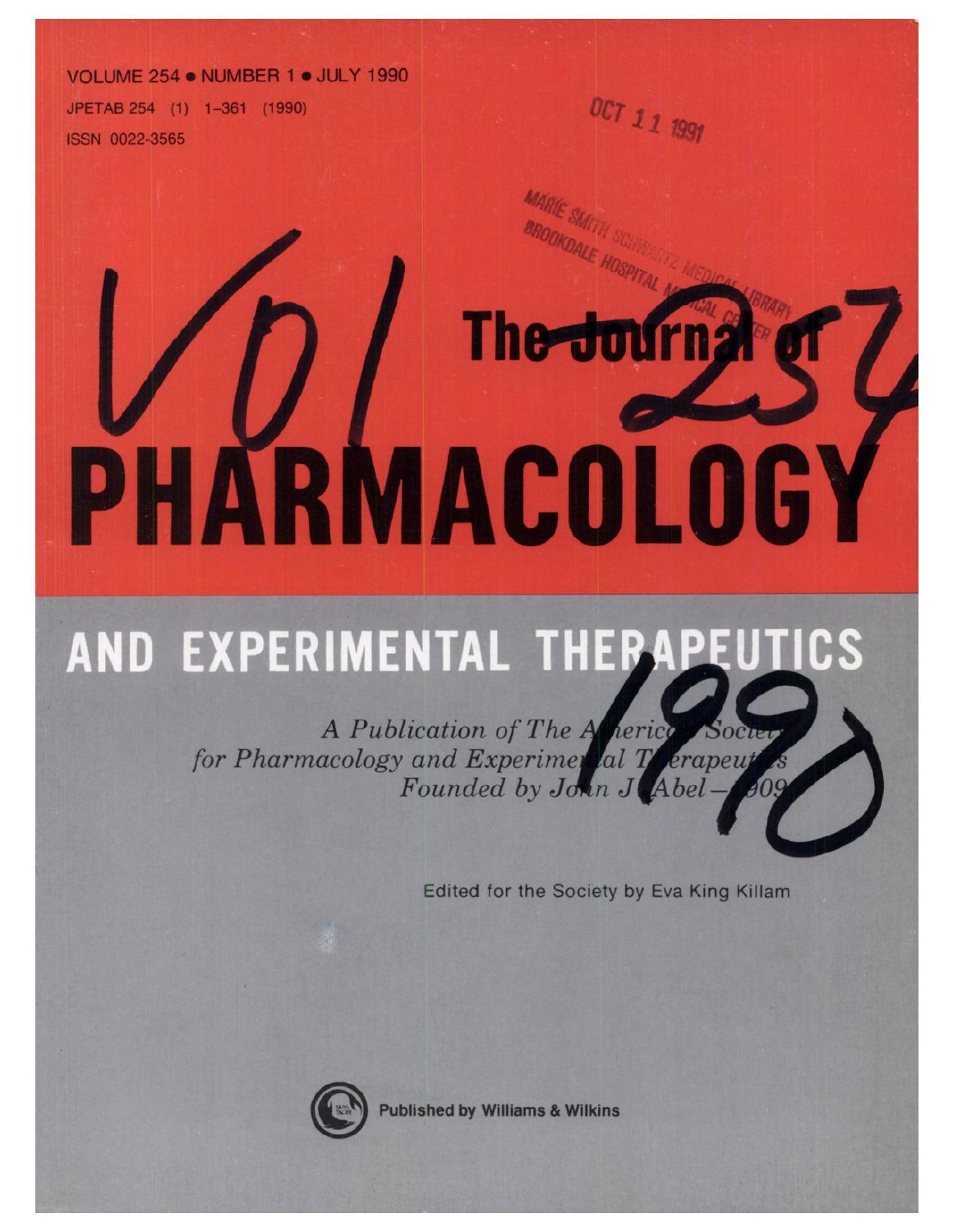#### **VOLUME 254. NUMBER 1** . **JULY 1990**

JPETAB 254 (1) 1-361 (1990) ISSN 0022-3565

# The Journ; PHARMACULUGY

## **AND EXPERIMENTAL** ICS

*A Publication of The for Pharmacology and Experime Founded by J*

Edited for the Society by Eva King Killam

**OCT12 199j**



Published by Williams & Wilkins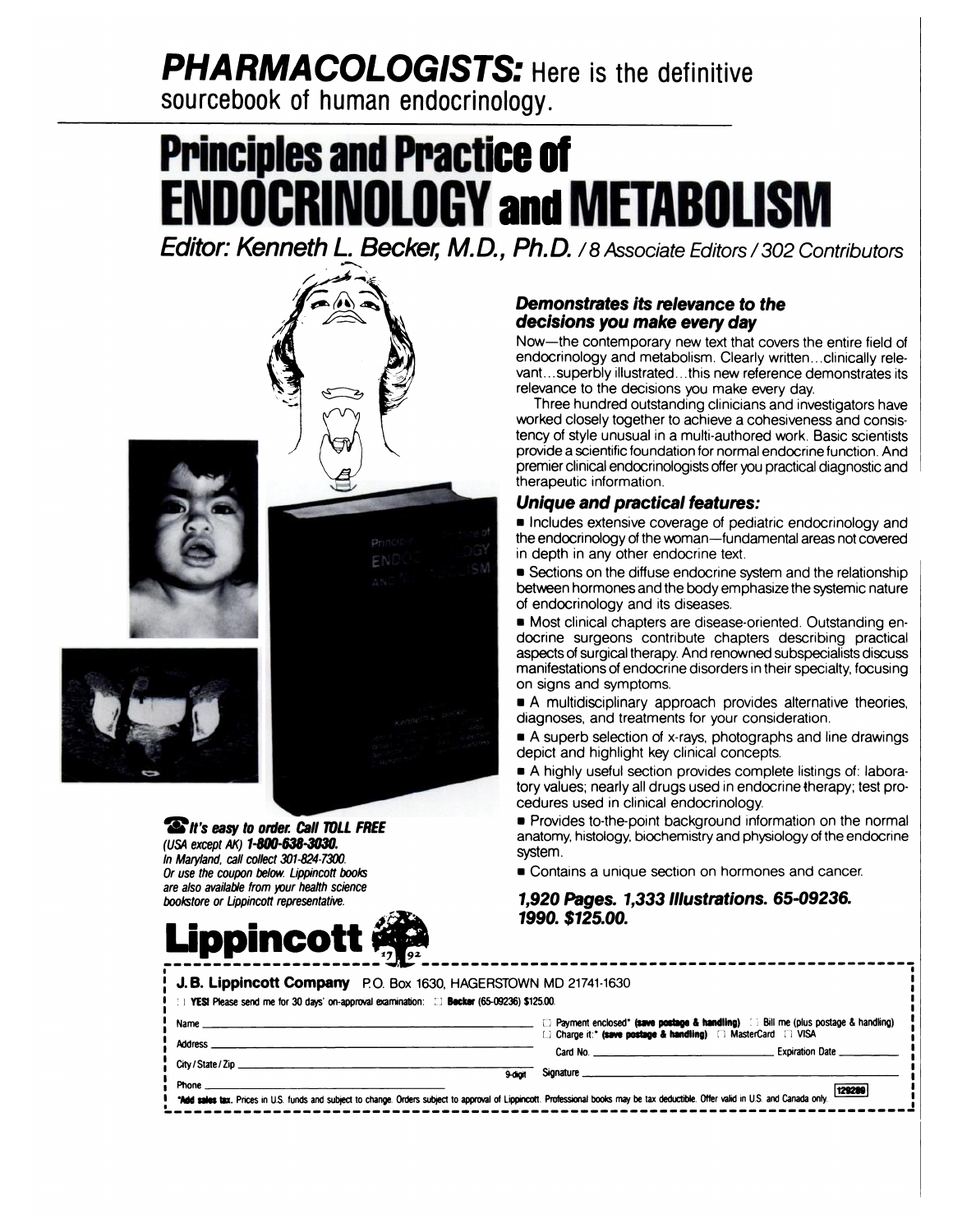## **PHARMACOLOGISTS: Here is the definitive**

**sourcebook of human endocrinology.**

## **Principles and Practice of ENDOCRINOLOGYandMETABOLISrIiI**

**Editor: Kenneth L. Becker, M.D., Ph.D.** / 8 Associate Editors / 302 Contributors |



**It's easy to order. Call TOLL FREE** (USA except AK) 1-800-638-3030. In Maryland, call collect 301-824-7300. Or use the coupon below. Lippincott books are also available from your health science bookstore or Lippincott representative.



#### **Demonstrates** *its* **relevance to the decisions you make every day**

Now-the contemporary new text that covers the entire field of endocrinology and metabolism. Clearly written. . clinically relevant. . superbly illustrated. . this new reference demonstrates its relevance to the decisions you make every day.

Three hundred outstanding clinicians and investigators have worked closely together to achieve a cohesiveness and consistency of style unusual in a multi-authored work. Basic scientists provide a scientific foundation for normal endocrine function. And premier clinical endocrinologists offer you practical diagnostic and therapeutic information.

### **Unique and** *practical* **features:**

**Includes extensive coverage of pediatric endocrinology and** the endocrinology of the woman-fundamental areas not covered in depth in any other endocrine text.

**E** Sections on the diffuse endocrine system and the relationship between hormones and the body emphasize the systemic nature of endocrinology and its diseases.

**■ Most clinical chapters are disease-oriented. Outstanding en**docrine surgeons contribute chapters describing practical aspects of surgical therapy. And renowned subspecialists discuss manifestations of endocrine disorders in their specialty, focusing on signs and symptoms.

**A** multidisciplinary approach provides alternative theories, diagnoses, and treatments for your consideration.

**A** superb selection of x-rays, photographs and line drawings depict and highlight key clinical concepts.

**A** highly useful section provides complete listings of: laboratory values; nearly all drugs used in endocrine therapy; test procedures used in clinical endocrinology.

**• Provides to-the-point background information on the normal** anatomy, histology, biochemistry and physiology of the endocrine system.

**Example 2** Contains a unique section on hormones and cancer.

**1,920 Pages. 1,333 Illustrations. 65-09236. 1990. \$125.00.**

| J.B. Lippincott Company P.O. Box 1630, HAGERSTOWN MD 21741-1630<br>YESI Please send me for 30 days' on-approval examination: [1] Becker (65-09236) \$125.00.                         |                                                                                                                                                                        |
|--------------------------------------------------------------------------------------------------------------------------------------------------------------------------------------|------------------------------------------------------------------------------------------------------------------------------------------------------------------------|
| Name                                                                                                                                                                                 | $\Box$ Payment enclosed" (save postage & handling) $\Box$ Bill me (plus postage & handling)<br><b>id Charge it:* (save postage &amp; handling)</b> □ MasterCard □ VISA |
| Address<br>City / State / Zip                                                                                                                                                        | Card No. __ __ __ __ __ __ __ __ __ __ Expiration Date __ __                                                                                                           |
| 9-diait<br>Phone                                                                                                                                                                     | 129289                                                                                                                                                                 |
| "Add sales tax. Prices in U.S. funds and subject to change. Orders subject to approval of Lippincott. Professional books may be tax deductible. Offer valid in U.S. and Canada only. |                                                                                                                                                                        |